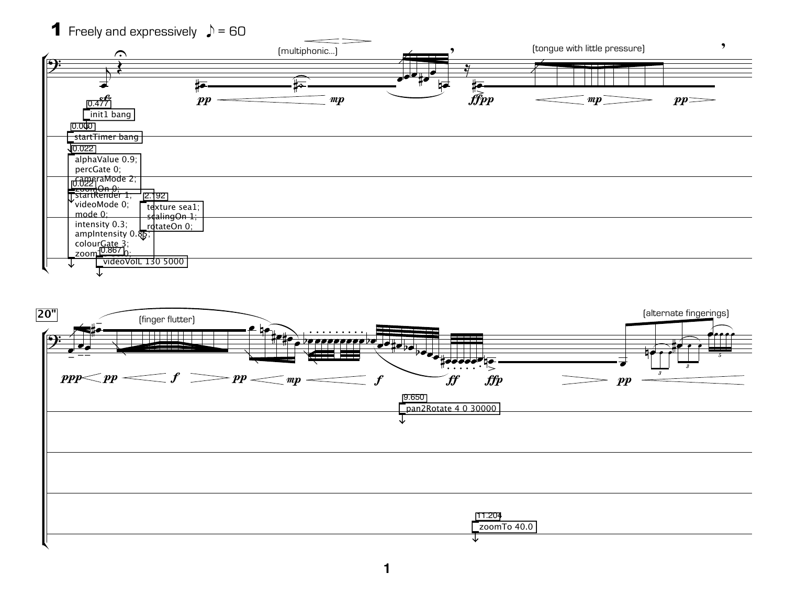## **1** Freely and expressively  $\rightarrow$  = 60



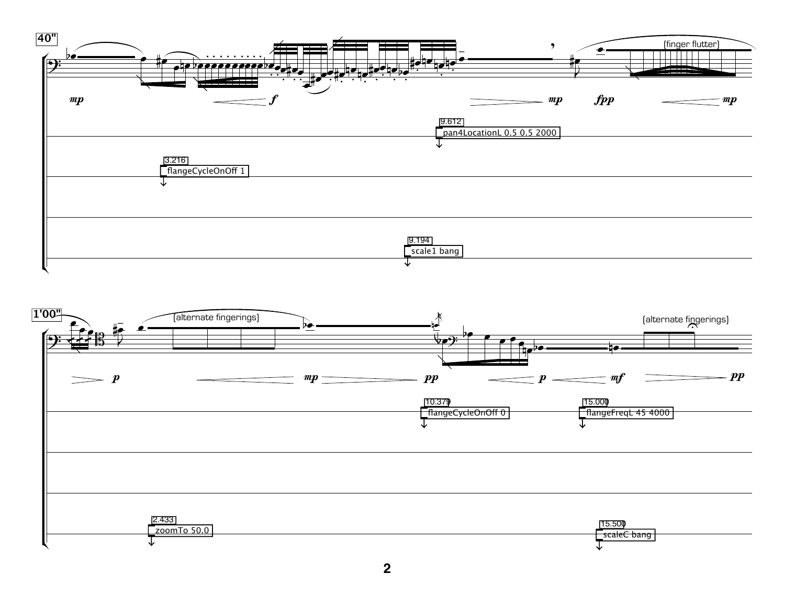

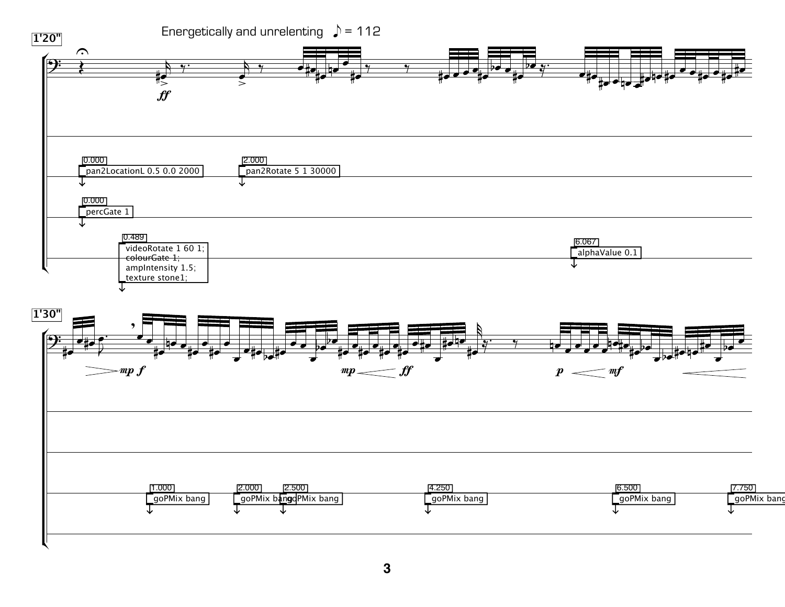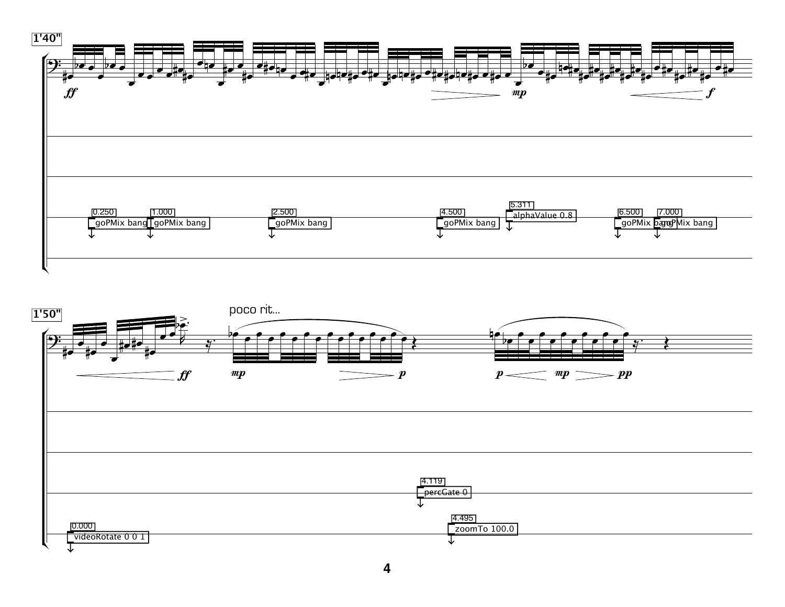

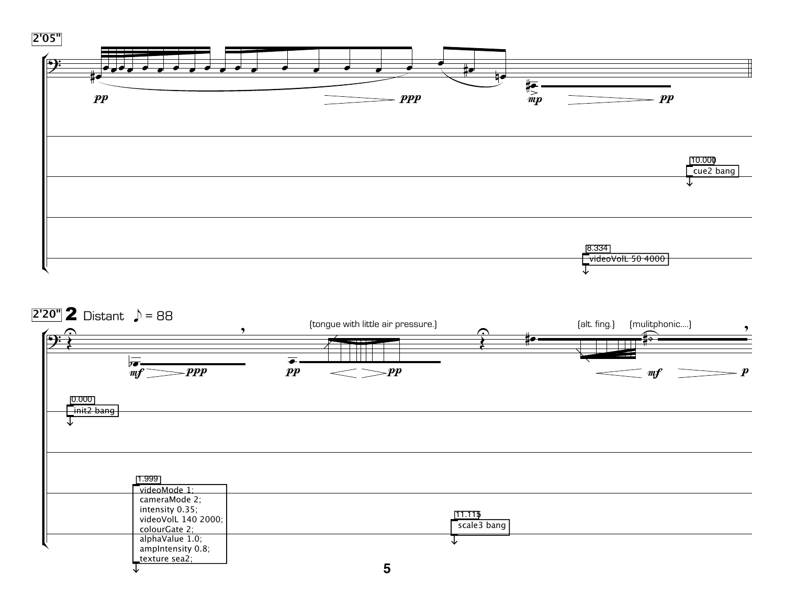

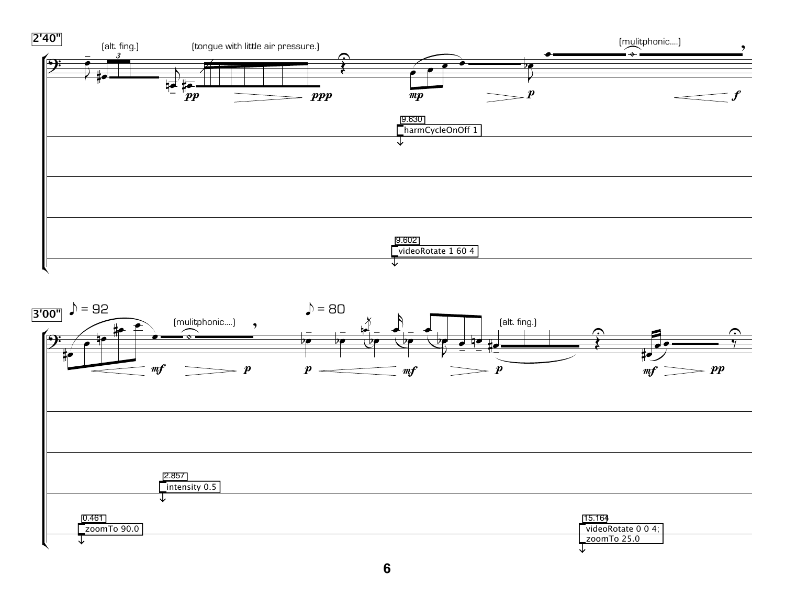

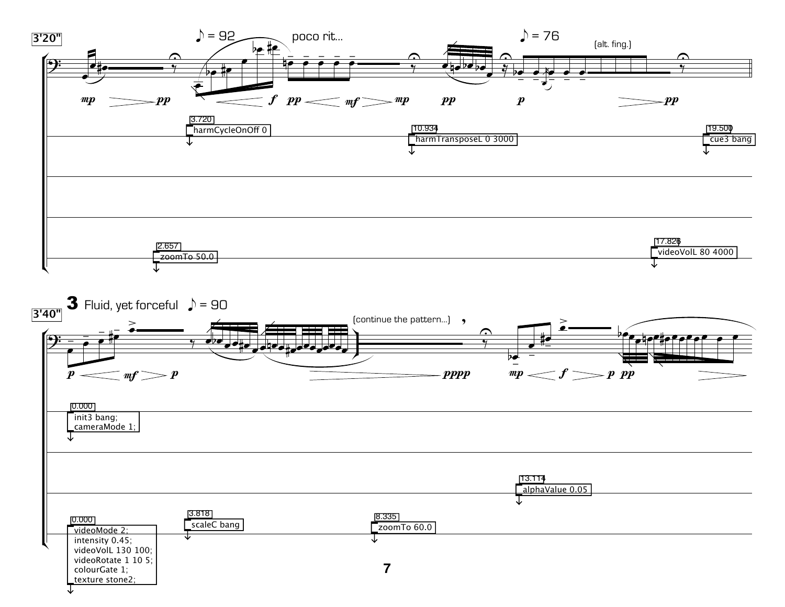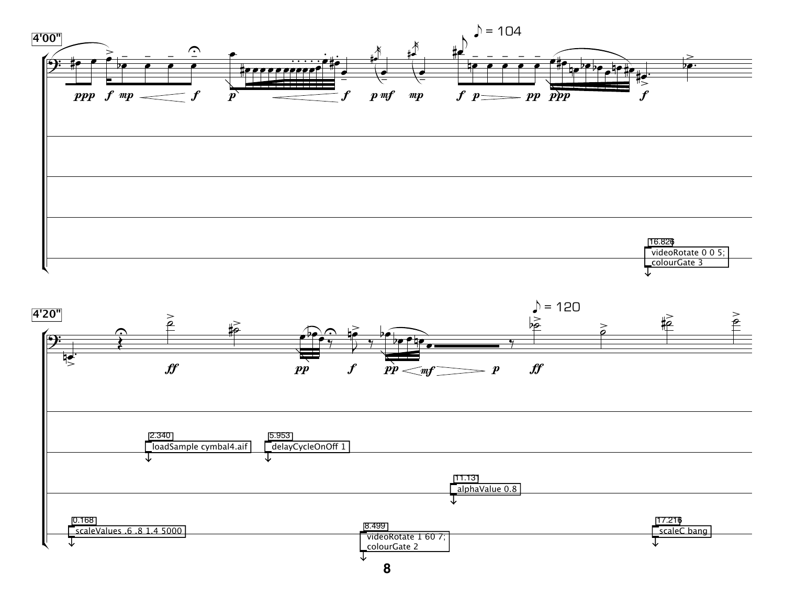

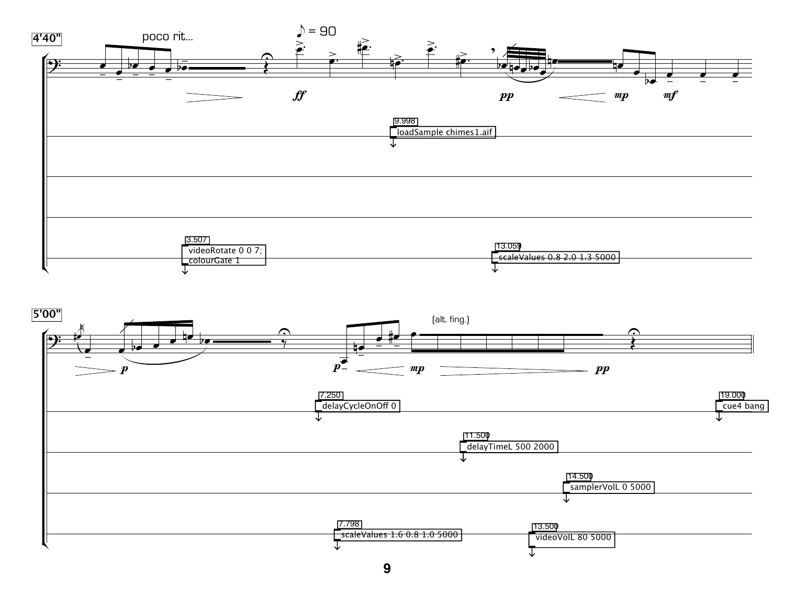

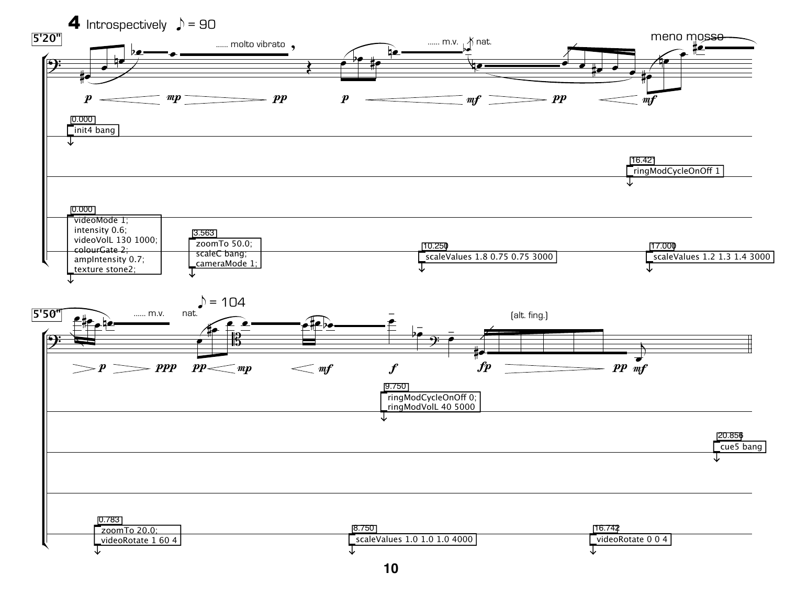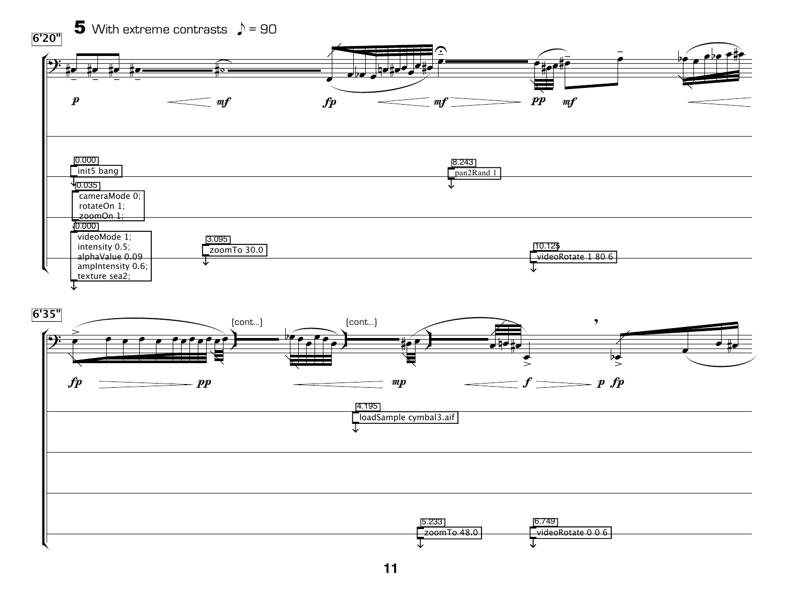

**11**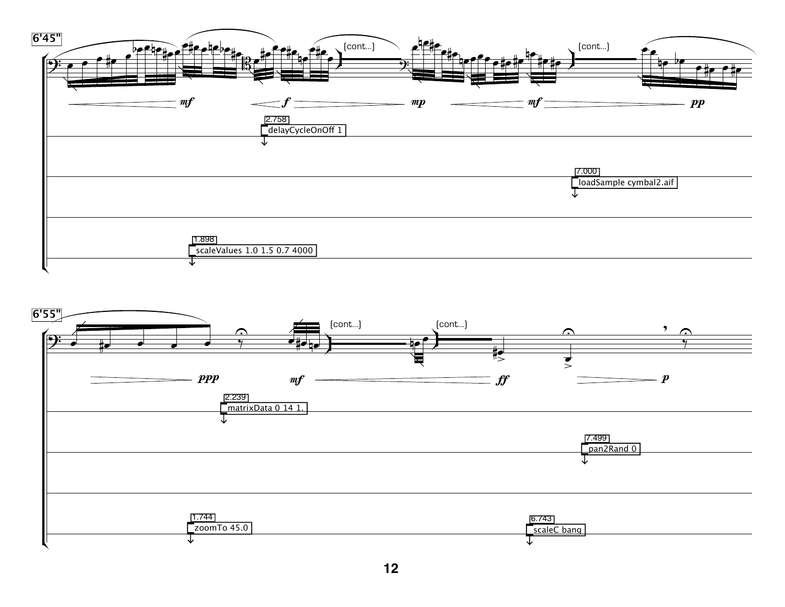

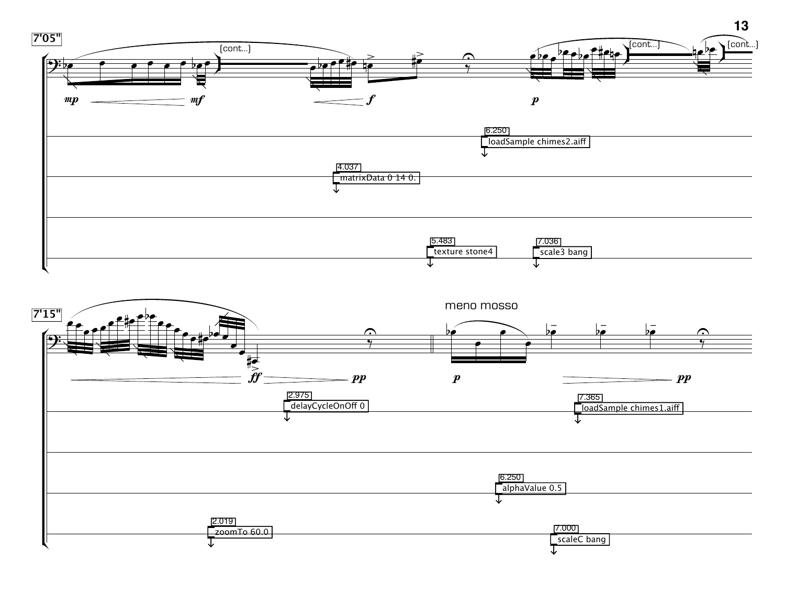

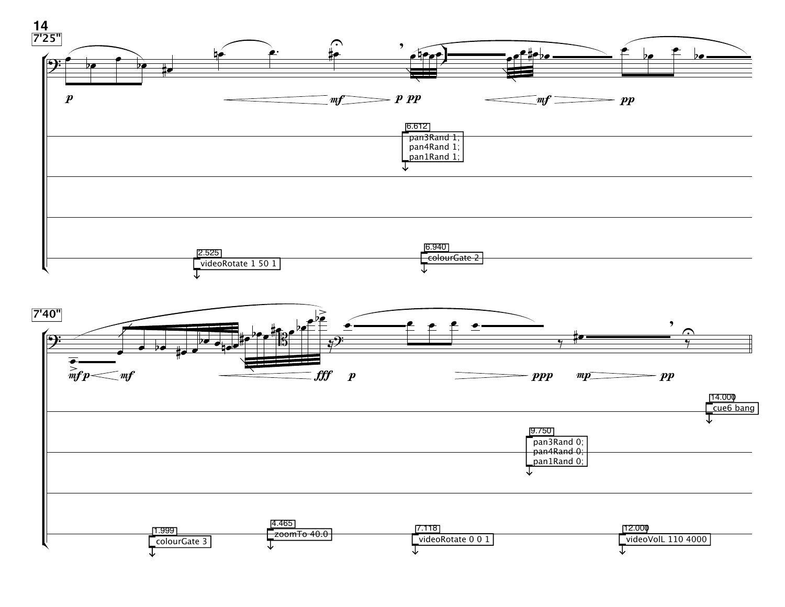

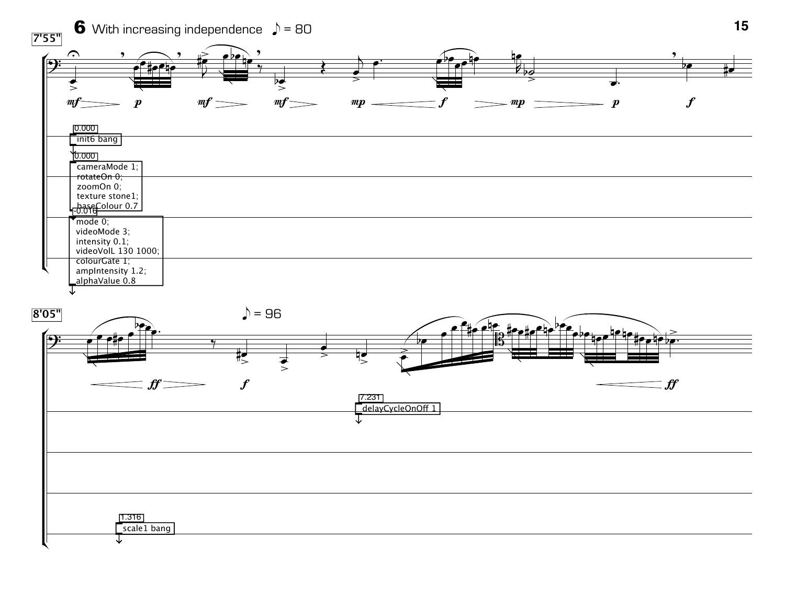

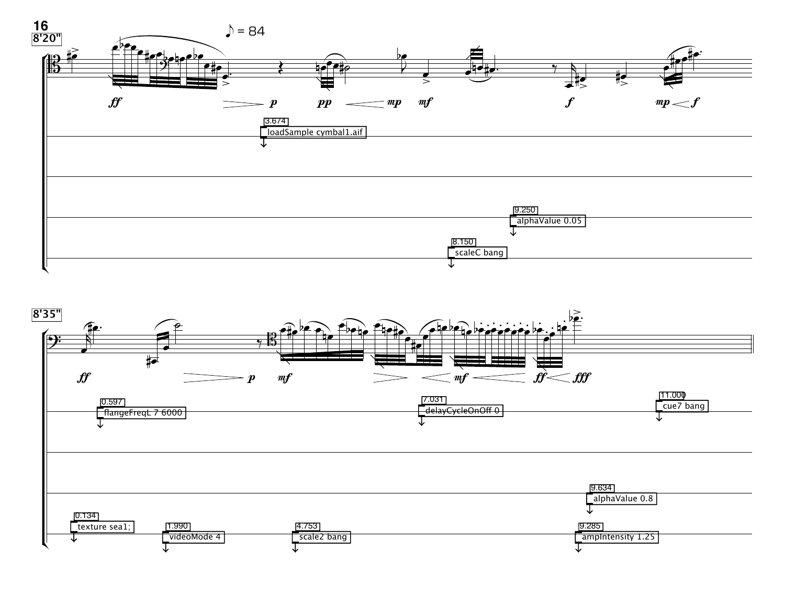

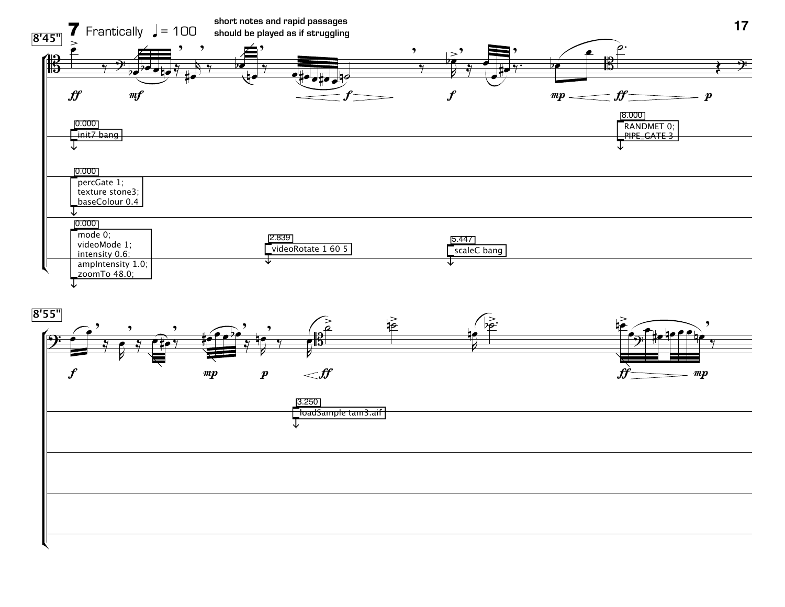

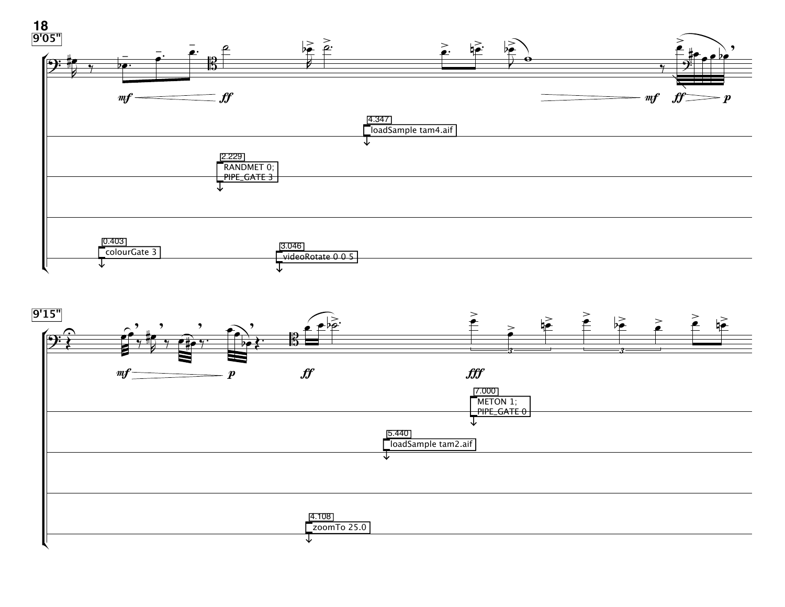

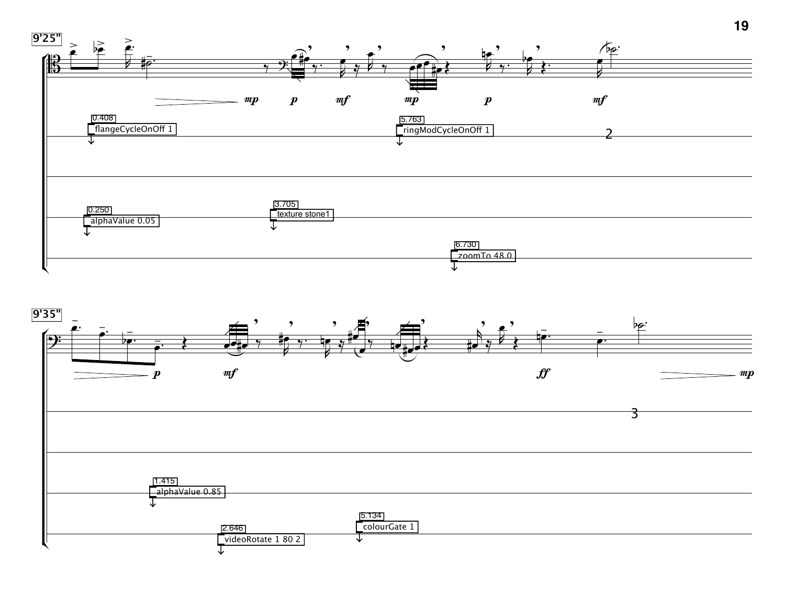

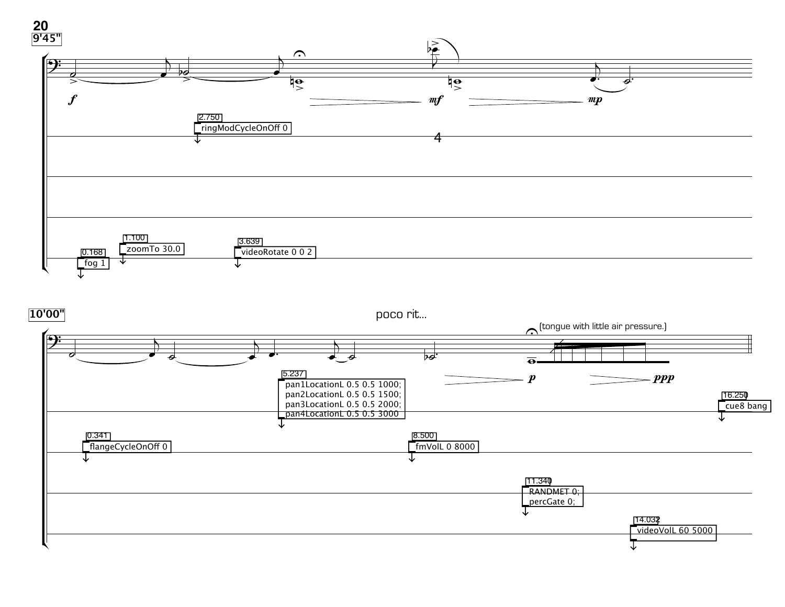

**10'00"**

poco rit...

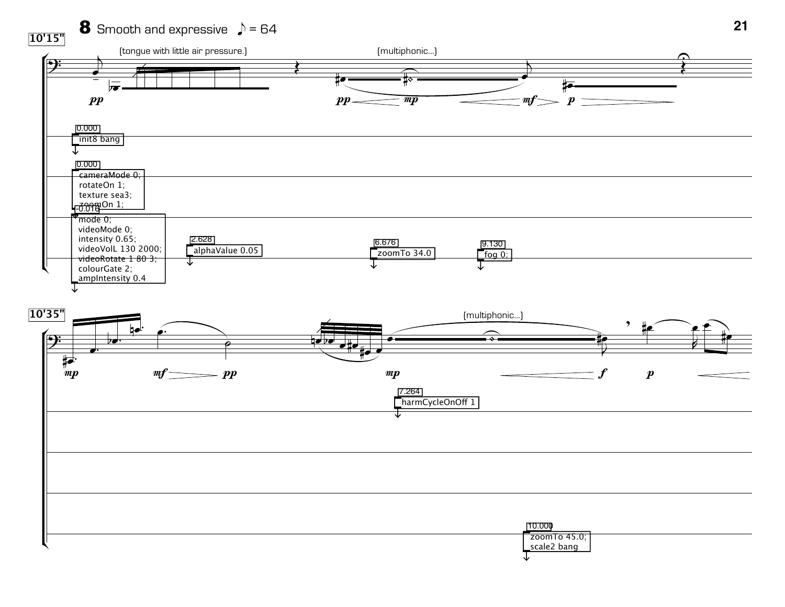